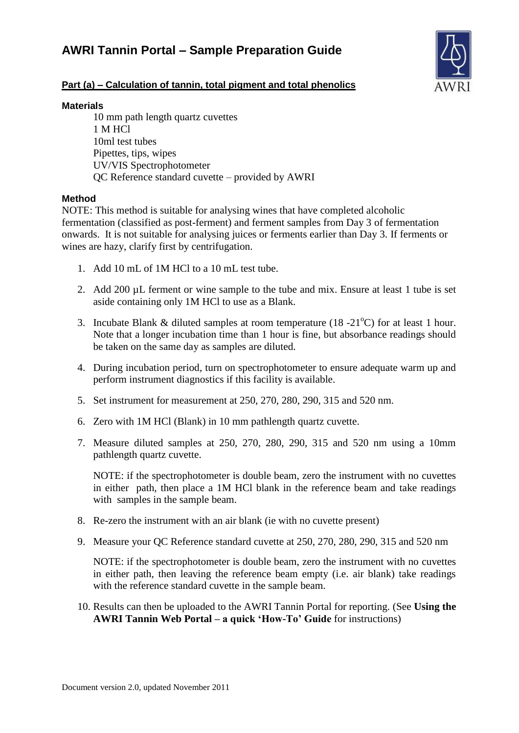# **AWRI Tannin Portal – Sample Preparation Guide**



## **Part (a) – Calculation of tannin, total pigment and total phenolics**

#### **Materials**

10 mm path length quartz cuvettes 1 M HCl 10ml test tubes Pipettes, tips, wipes UV/VIS Spectrophotometer QC Reference standard cuvette – provided by AWRI

## **Method**

NOTE: This method is suitable for analysing wines that have completed alcoholic fermentation (classified as post-ferment) and ferment samples from Day 3 of fermentation onwards. It is not suitable for analysing juices or ferments earlier than Day 3. If ferments or wines are hazy, clarify first by centrifugation.

- 1. Add 10 mL of 1M HCl to a 10 mL test tube.
- 2. Add 200 µL ferment or wine sample to the tube and mix. Ensure at least 1 tube is set aside containing only 1M HCl to use as a Blank.
- 3. Incubate Blank & diluted samples at room temperature (18 -21<sup>o</sup>C) for at least 1 hour. Note that a longer incubation time than 1 hour is fine, but absorbance readings should be taken on the same day as samples are diluted.
- 4. During incubation period, turn on spectrophotometer to ensure adequate warm up and perform instrument diagnostics if this facility is available.
- 5. Set instrument for measurement at 250, 270, 280, 290, 315 and 520 nm.
- 6. Zero with 1M HCl (Blank) in 10 mm pathlength quartz cuvette.
- 7. Measure diluted samples at 250, 270, 280, 290, 315 and 520 nm using a 10mm pathlength quartz cuvette.

NOTE: if the spectrophotometer is double beam, zero the instrument with no cuvettes in either path, then place a 1M HCl blank in the reference beam and take readings with samples in the sample beam.

- 8. Re-zero the instrument with an air blank (ie with no cuvette present)
- 9. Measure your QC Reference standard cuvette at 250, 270, 280, 290, 315 and 520 nm

NOTE: if the spectrophotometer is double beam, zero the instrument with no cuvettes in either path, then leaving the reference beam empty (i.e. air blank) take readings with the reference standard cuvette in the sample beam.

10. Results can then be uploaded to the AWRI Tannin Portal for reporting. (See **Using the AWRI Tannin Web Portal – a quick 'How-To' Guide** for instructions)